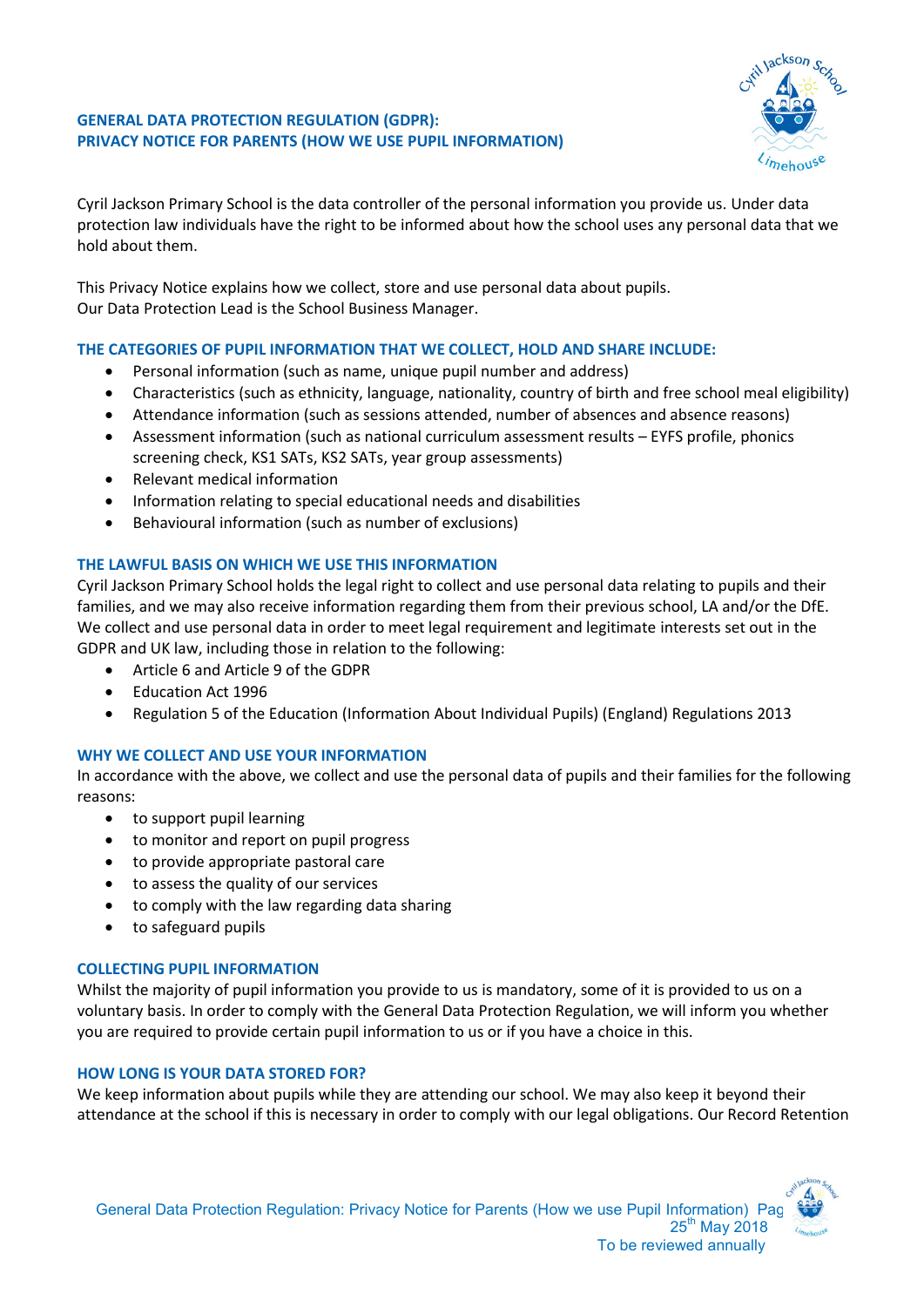## **GENERAL DATA PROTECTION REGULATION (GDPR): PRIVACY NOTICE FOR PARENTS (HOW WE USE PUPIL INFORMATION)**



Cyril Jackson Primary School is the data controller of the personal information you provide us. Under data protection law individuals have the right to be informed about how the school uses any personal data that we hold about them.

This Privacy Notice explains how we collect, store and use personal data about pupils. Our Data Protection Lead is the School Business Manager.

# **THE CATEGORIES OF PUPIL INFORMATION THAT WE COLLECT, HOLD AND SHARE INCLUDE:**

- Personal information (such as name, unique pupil number and address)
- Characteristics (such as ethnicity, language, nationality, country of birth and free school meal eligibility)
- Attendance information (such as sessions attended, number of absences and absence reasons)
- Assessment information (such as national curriculum assessment results EYFS profile, phonics screening check, KS1 SATs, KS2 SATs, year group assessments)
- Relevant medical information
- Information relating to special educational needs and disabilities
- Behavioural information (such as number of exclusions)

# **THE LAWFUL BASIS ON WHICH WE USE THIS INFORMATION**

Cyril Jackson Primary School holds the legal right to collect and use personal data relating to pupils and their families, and we may also receive information regarding them from their previous school, LA and/or the DfE. We collect and use personal data in order to meet legal requirement and legitimate interests set out in the GDPR and UK law, including those in relation to the following:

- Article 6 and Article 9 of the GDPR
- Education Act 1996
- Regulation 5 of the Education (Information About Individual Pupils) (England) Regulations 2013

## **WHY WE COLLECT AND USE YOUR INFORMATION**

In accordance with the above, we collect and use the personal data of pupils and their families for the following reasons:

- to support pupil learning
- to monitor and report on pupil progress
- to provide appropriate pastoral care
- to assess the quality of our services
- to comply with the law regarding data sharing
- to safeguard pupils

## **COLLECTING PUPIL INFORMATION**

Whilst the majority of pupil information you provide to us is mandatory, some of it is provided to us on a voluntary basis. In order to comply with the General Data Protection Regulation, we will inform you whether you are required to provide certain pupil information to us or if you have a choice in this.

## **HOW LONG IS YOUR DATA STORED FOR?**

We keep information about pupils while they are attending our school. We may also keep it beyond their attendance at the school if this is necessary in order to comply with our legal obligations. Our Record Retention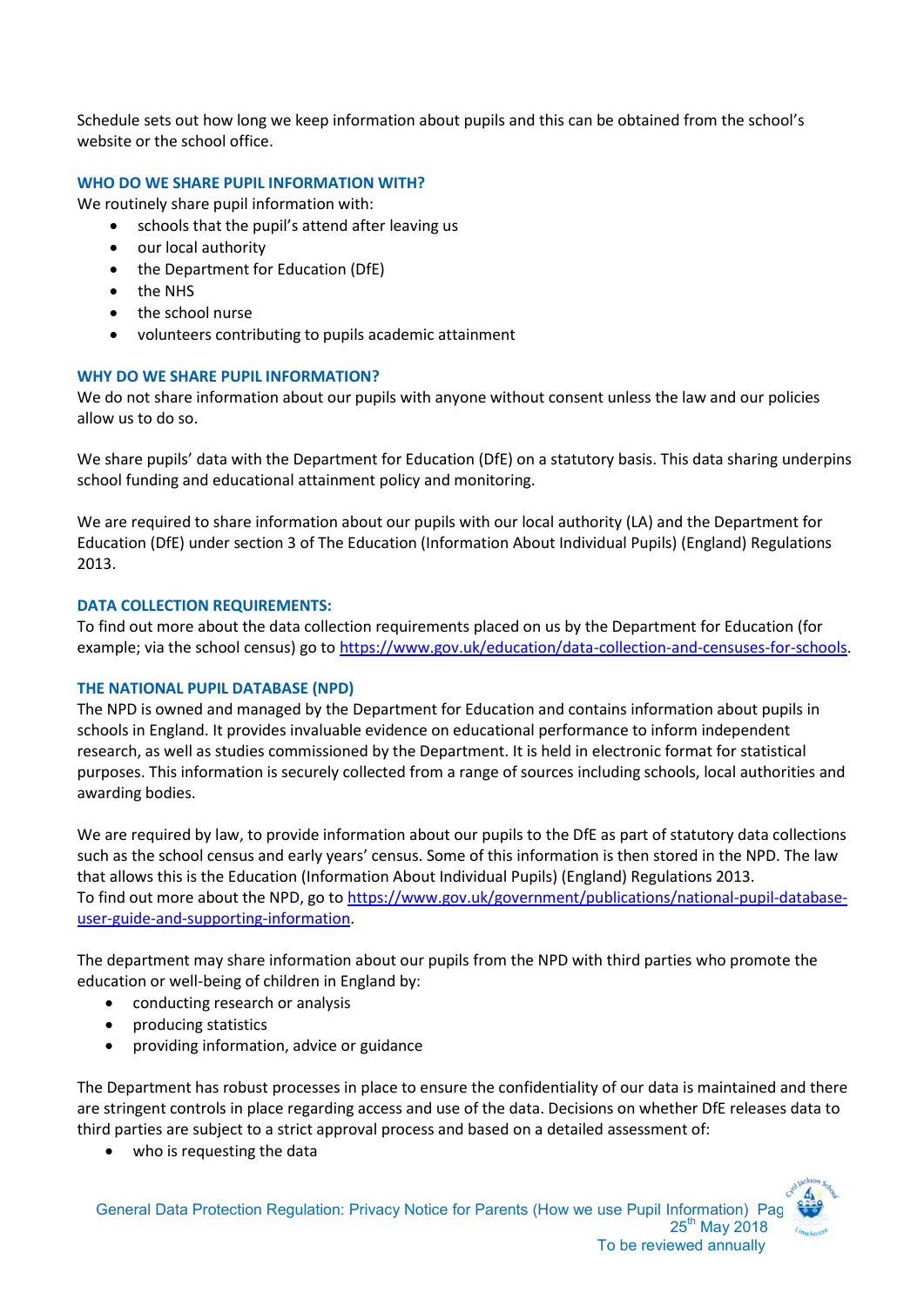Schedule sets out how long we keep information about pupils and this can be obtained from the school's website or the school office.

### **WHO DO WE SHARE PUPIL INFORMATION WITH?**

We routinely share pupil information with:

- schools that the pupil's attend after leaving us
- our local authority
- the Department for Education (DfE)
- the NHS
- the school nurse
- volunteers contributing to pupils academic attainment

#### **WHY DO WE SHARE PUPIL INFORMATION?**

We do not share information about our pupils with anyone without consent unless the law and our policies allow us to do so.

We share pupils' data with the Department for Education (DfE) on a statutory basis. This data sharing underpins school funding and educational attainment policy and monitoring.

We are required to share information about our pupils with our local authority (LA) and the Department for Education (DfE) under section 3 of The Education (Information About Individual Pupils) (England) Regulations 2013.

#### **DATA COLLECTION REQUIREMENTS:**

To find out more about the data collection requirements placed on us by the Department for Education (for example; via the school census) go t[o https://www.gov.uk/education/data-collection-and-censuses-for-schools.](https://www.gov.uk/education/data-collection-and-censuses-for-schools)

#### **THE NATIONAL PUPIL DATABASE (NPD)**

The NPD is owned and managed by the Department for Education and contains information about pupils in schools in England. It provides invaluable evidence on educational performance to inform independent research, as well as studies commissioned by the Department. It is held in electronic format for statistical purposes. This information is securely collected from a range of sources including schools, local authorities and awarding bodies.

We are required by law, to provide information about our pupils to the DfE as part of statutory data collections such as the school census and early years' census. Some of this information is then stored in the NPD. The law that allows this is the Education (Information About Individual Pupils) (England) Regulations 2013. To find out more about the NPD, go to [https://www.gov.uk/government/publications/national-pupil-database](https://www.gov.uk/government/publications/national-pupil-database-user-guide-and-supporting-information)[user-guide-and-supporting-information.](https://www.gov.uk/government/publications/national-pupil-database-user-guide-and-supporting-information)

The department may share information about our pupils from the NPD with third parties who promote the education or well-being of children in England by:

- conducting research or analysis
- producing statistics
- providing information, advice or guidance

The Department has robust processes in place to ensure the confidentiality of our data is maintained and there are stringent controls in place regarding access and use of the data. Decisions on whether DfE releases data to third parties are subject to a strict approval process and based on a detailed assessment of:

• who is requesting the data